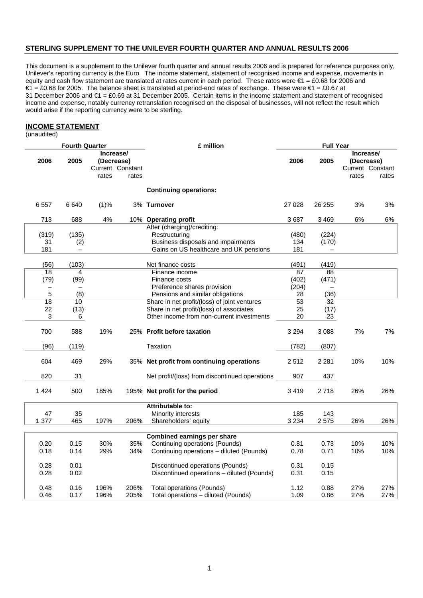# **STERLING SUPPLEMENT TO THE UNILEVER FOURTH QUARTER AND ANNUAL RESULTS 2006**

This document is a supplement to the Unilever fourth quarter and annual results 2006 and is prepared for reference purposes only, Unilever's reporting currency is the Euro. The income statement, statement of recognised income and expense, movements in equity and cash flow statement are translated at rates current in each period. These rates were €1 = £0.68 for 2006 and €1 = £0.68 for 2005. The balance sheet is translated at period-end rates of exchange. These were €1 = £0.67 at 31 December 2006 and €1 = £0.69 at 31 December 2005. Certain items in the income statement and statement of recognised income and expense, notably currency retranslation recognised on the disposal of businesses, will not reflect the result which would arise if the reporting currency were to be sterling.

## **INCOME STATEMENT**

(unaudited)

| <b>Fourth Quarter</b> |                       |              |                                                      | £ million                                                               | <b>Full Year</b> |                 |                                  |                           |
|-----------------------|-----------------------|--------------|------------------------------------------------------|-------------------------------------------------------------------------|------------------|-----------------|----------------------------------|---------------------------|
| 2006                  | 2005                  | rates        | Increase/<br>(Decrease)<br>Current Constant<br>rates |                                                                         | 2006             | 2005            | Increase/<br>(Decrease)<br>rates | Current Constant<br>rates |
|                       |                       |              |                                                      | <b>Continuing operations:</b>                                           |                  |                 |                                  |                           |
| 6557                  | 6640                  | (1)%         |                                                      | 3% Turnover                                                             | 27 0 28          | 26 255          | 3%                               | 3%                        |
| 713                   | 688                   | 4%           |                                                      | 10% Operating profit                                                    | 3687             | 3 4 6 9         | 6%                               | 6%                        |
|                       |                       |              |                                                      | After (charging)/crediting:                                             |                  |                 |                                  |                           |
| (319)                 | (135)                 |              |                                                      | Restructuring                                                           | (480)            | (224)           |                                  |                           |
| 31                    | (2)                   |              |                                                      | Business disposals and impairments                                      | 134              | (170)           |                                  |                           |
| 181                   |                       |              |                                                      | Gains on US healthcare and UK pensions                                  | 181              |                 |                                  |                           |
| (56)                  | (103)                 |              |                                                      | Net finance costs                                                       | (491)            | (419)           |                                  |                           |
|                       | 18<br>4               |              |                                                      | Finance income                                                          | 87               | 88              |                                  |                           |
|                       | (79)<br>(99)          |              |                                                      | Finance costs                                                           | (402)            | (471)           |                                  |                           |
|                       |                       |              |                                                      | Preference shares provision                                             | (204)            |                 |                                  |                           |
|                       | 5<br>(8)              |              |                                                      | Pensions and similar obligations                                        | 28               | (36)            |                                  |                           |
|                       | $\overline{18}$<br>10 |              |                                                      | Share in net profit/(loss) of joint ventures                            | 53               | $\overline{32}$ |                                  |                           |
| 22                    | (13)                  |              |                                                      | Share in net profit/(loss) of associates                                | 25               | (17)            |                                  |                           |
|                       | 3<br>6                |              |                                                      | Other income from non-current investments                               | 20               | 23              |                                  |                           |
| 700                   | 588                   | 19%          |                                                      | 25% Profit before taxation                                              | 3 2 9 4          | 3 0 8 8         | 7%                               | 7%                        |
| (96)                  | (119)                 |              |                                                      | <b>Taxation</b>                                                         | (782)            | (807)           |                                  |                           |
| 604                   | 469                   | 29%          |                                                      | 35% Net profit from continuing operations                               | 2512             | 2 2 8 1         | 10%                              | 10%                       |
| 820                   | 31                    |              |                                                      | Net profit/(loss) from discontinued operations                          | 907              | 437             |                                  |                           |
| 1424                  | 500                   | 185%         |                                                      | 195% Net profit for the period                                          | 3419             | 2 7 1 8         | 26%                              | 26%                       |
|                       |                       |              |                                                      | <b>Attributable to:</b>                                                 |                  |                 |                                  |                           |
|                       | 47<br>35              |              |                                                      | Minority interests                                                      | 185              | 143             |                                  |                           |
| 1 377                 | 465                   | 197%         | 206%                                                 | Shareholders' equity                                                    | 3 2 3 4          | 2575            | 26%                              | 26%                       |
|                       |                       |              |                                                      |                                                                         |                  |                 |                                  |                           |
|                       |                       |              |                                                      | <b>Combined earnings per share</b>                                      |                  |                 |                                  |                           |
| 0.20                  | 0.15                  | 30%          | 35%                                                  | Continuing operations (Pounds)                                          | 0.81             | 0.73            | 10%                              | 10%                       |
| 0.18                  | 0.14                  | 29%          | 34%                                                  | Continuing operations - diluted (Pounds)                                | 0.78             | 0.71            | 10%                              | 10%                       |
| 0.28                  | 0.01                  |              |                                                      | Discontinued operations (Pounds)                                        | 0.31             | 0.15            |                                  |                           |
| 0.28                  | 0.02                  |              |                                                      | Discontinued operations - diluted (Pounds)                              | 0.31             | 0.15            |                                  |                           |
|                       |                       |              |                                                      |                                                                         |                  |                 |                                  |                           |
| 0.48<br>0.46          | 0.16<br>0.17          | 196%<br>196% | 206%<br>205%                                         | <b>Total operations (Pounds)</b><br>Total operations - diluted (Pounds) | 1.12<br>1.09     | 0.88<br>0.86    | 27%<br>27%                       | 27%<br>27%                |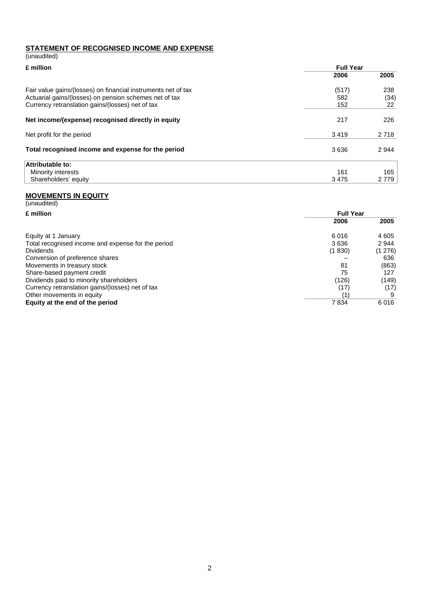# **STATEMENT OF RECOGNISED INCOME AND EXPENSE** (unaudited)

| £ million                                                     | <b>Full Year</b> |         |  |
|---------------------------------------------------------------|------------------|---------|--|
|                                                               | 2006             | 2005    |  |
| Fair value gains/(losses) on financial instruments net of tax | (517)            | 238     |  |
| Actuarial gains/(losses) on pension schemes net of tax        | 582              | (34)    |  |
| Currency retranslation gains/(losses) net of tax              | 152              | 22      |  |
| Net income/(expense) recognised directly in equity            | 217              | 226     |  |
| Net profit for the period                                     | 3419             | 2 7 1 8 |  |
| Total recognised income and expense for the period            | 3636             | 2944    |  |
| Attributable to:                                              |                  |         |  |
| Minority interests                                            | 161              | 165     |  |
| Shareholders' equity                                          | 3475             | 2 7 7 9 |  |

## **MOVEMENTS IN EQUITY**

| (unaudited)                                        |                  |        |  |
|----------------------------------------------------|------------------|--------|--|
| £ million                                          | <b>Full Year</b> |        |  |
|                                                    | 2006             | 2005   |  |
| Equity at 1 January                                | 6016             | 4 605  |  |
| Total recognised income and expense for the period | 3636             | 2944   |  |
| <b>Dividends</b>                                   | (1830)           | (1276) |  |
| Conversion of preference shares                    |                  | 636    |  |
| Movements in treasury stock                        | 81               | (863)  |  |
| Share-based payment credit                         | 75               | 127    |  |
| Dividends paid to minority shareholders            | (126)            | (149)  |  |
| Currency retranslation gains/(losses) net of tax   | (17)             | (17)   |  |
| Other movements in equity                          | 1                |        |  |
| Equity at the end of the period                    | 7834             | 6016   |  |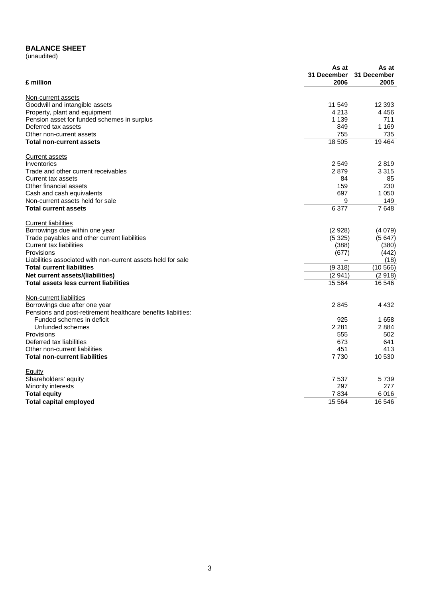## **BALANCE SHEET**

(unaudited)

|                                                              | As at       | As at       |
|--------------------------------------------------------------|-------------|-------------|
|                                                              | 31 December | 31 December |
| £ million                                                    | 2006        | 2005        |
| Non-current assets                                           |             |             |
| Goodwill and intangible assets                               | 11 549      | 12 3 9 3    |
| Property, plant and equipment                                | 4 2 1 3     | 4 4 5 6     |
| Pension asset for funded schemes in surplus                  | 1 1 3 9     | 711         |
| Deferred tax assets                                          | 849         | 1 1 6 9     |
| Other non-current assets                                     | 755         | 735         |
| <b>Total non-current assets</b>                              | 18 505      | 19464       |
| <b>Current assets</b>                                        |             |             |
| Inventories                                                  | 2 5 4 9     | 2819        |
| Trade and other current receivables                          | 2879        | 3 3 1 5     |
| Current tax assets                                           | 84          | 85          |
| Other financial assets                                       | 159         | 230         |
| Cash and cash equivalents                                    | 697         | 1 0 5 0     |
| Non-current assets held for sale                             | 9           | 149         |
| <b>Total current assets</b>                                  | 6 3 7 7     | 7648        |
| <b>Current liabilities</b>                                   |             |             |
| Borrowings due within one year                               | (2928)      | (4079)      |
| Trade payables and other current liabilities                 | (5325)      | (5647)      |
| Current tax liabilities                                      | (388)       | (380)       |
| Provisions                                                   | (677)       | (442)       |
| Liabilities associated with non-current assets held for sale |             | (18)        |
| <b>Total current liabilities</b>                             | (9318)      | (10566)     |
| Net current assets/(liabilities)                             | (2941)      | (2918)      |
| Total assets less current liabilities                        | 15 5 64     | 16 546      |
| Non-current liabilities                                      |             |             |
| Borrowings due after one year                                | 2845        | 4 4 3 2     |
| Pensions and post-retirement healthcare benefits liabiities: |             |             |
| Funded schemes in deficit                                    | 925         | 1658        |
| Unfunded schemes                                             | 2 2 8 1     | 2884        |
| Provisions                                                   | 555         | 502         |
| Deferred tax liabilities                                     | 673         | 641         |
| Other non-current liabilities                                | 451         | 413         |
| <b>Total non-current liabilities</b>                         | 7730        | 10 530      |
| Equity                                                       |             |             |
| Shareholders' equity                                         | 7537        | 5739        |
| Minority interests                                           | 297         | 277         |
| <b>Total equity</b>                                          | 7834        | 6016        |
| <b>Total capital employed</b>                                | 15 5 64     | 16 546      |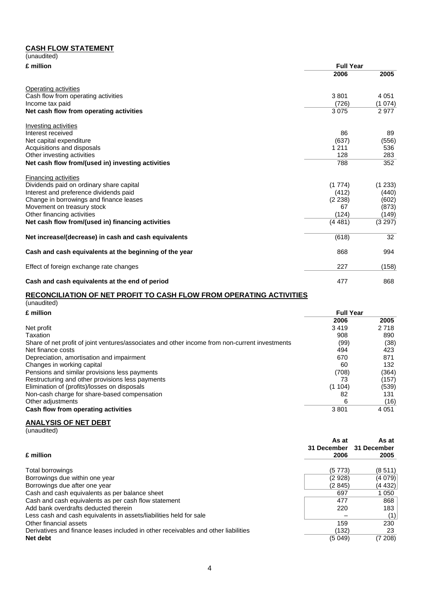# **CASH FLOW STATEMENT**

| (unaudited)                                            |                  |         |
|--------------------------------------------------------|------------------|---------|
| £ million                                              | <b>Full Year</b> |         |
|                                                        | 2006             | 2005    |
| Operating activities                                   |                  |         |
| Cash flow from operating activities                    | 3801             | 4 0 5 1 |
| Income tax paid                                        | (726)            | (1074)  |
| Net cash flow from operating activities                | 3075             | 2977    |
| Investing activities                                   |                  |         |
| Interest received                                      | 86               | 89      |
| Net capital expenditure                                | (637)            | (556)   |
| Acquisitions and disposals                             | 1 2 1 1          | 536     |
| Other investing activities                             | 128              | 283     |
| Net cash flow from/(used in) investing activities      | 788              | 352     |
| <b>Financing activities</b>                            |                  |         |
| Dividends paid on ordinary share capital               | (1774)           | (1 233) |
| Interest and preference dividends paid                 | (412)            | (440)   |
| Change in borrowings and finance leases                | (2 238)          | (602)   |
| Movement on treasury stock                             | 67               | (873)   |
| Other financing activities                             | (124)            | (149)   |
| Net cash flow from/(used in) financing activities      | (4481)           | (3 297) |
| Net increase/(decrease) in cash and cash equivalents   | (618)            | 32      |
| Cash and cash equivalents at the beginning of the year | 868              | 994     |
| Effect of foreign exchange rate changes                | 227              | (158)   |
| Cash and cash equivalents at the end of period         | 477              | 868     |

## **RECONCILIATION OF NET PROFIT TO CASH FLOW FROM OPERATING ACTIVITIES**

| (unaudited)                                                                                    |                  |         |  |
|------------------------------------------------------------------------------------------------|------------------|---------|--|
| £ million                                                                                      | <b>Full Year</b> |         |  |
|                                                                                                | 2006             | 2005    |  |
| Net profit                                                                                     | 3419             | 2 7 1 8 |  |
| Taxation                                                                                       | 908              | 890     |  |
| Share of net profit of joint ventures/associates and other income from non-current investments | (99)             | (38)    |  |
| Net finance costs                                                                              | 494              | 423     |  |
| Depreciation, amortisation and impairment                                                      | 670              | 871     |  |
| Changes in working capital                                                                     | 60               | 132     |  |
| Pensions and similar provisions less payments                                                  | (708)            | (364)   |  |
| Restructuring and other provisions less payments                                               | 73               | (157)   |  |
| Elimination of (profits)/losses on disposals                                                   | (1104)           | (539)   |  |
| Non-cash charge for share-based compensation                                                   | 82               | 131     |  |
| Other adjustments                                                                              | 6                | (16)    |  |
| Cash flow from operating activities                                                            | 3801             | 4 0 5 1 |  |

# **ANALYSIS OF NET DEBT**

(unaudited)

| £ million                                                                          | As at<br>31 December<br>2006 | As at<br>31 December<br>2005 |
|------------------------------------------------------------------------------------|------------------------------|------------------------------|
| Total borrowings                                                                   | (5773)                       | (8511)                       |
| Borrowings due within one year                                                     | (2928)                       | (4079)                       |
| Borrowings due after one year                                                      | (2845)                       | (4 432)                      |
| Cash and cash equivalents as per balance sheet                                     | 697                          | 1 0 5 0                      |
| Cash and cash equivalents as per cash flow statement                               | 477                          | 868                          |
| Add bank overdrafts deducted therein                                               | 220                          | 183                          |
| Less cash and cash equivalents in assets/liabilities held for sale                 |                              | (1)                          |
| Other financial assets                                                             | 159                          | 230                          |
| Derivatives and finance leases included in other receivables and other liabilities | (132)                        | 23                           |
| Net debt                                                                           | (5049)                       | (7208)                       |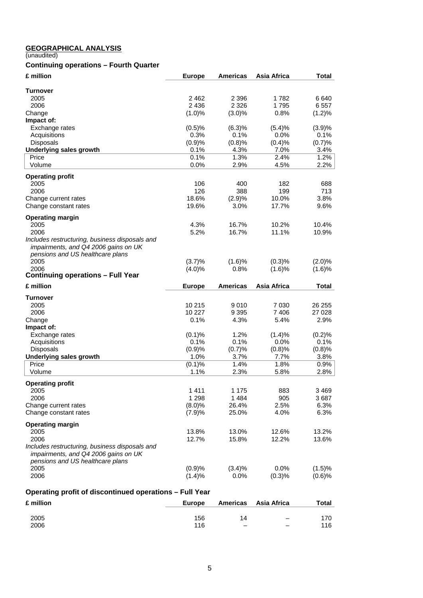#### **GEOGRAPHICAL ANALYSIS**

(unaudited)

# **Continuing operations – Fourth Quarter**

| £ million                                               | <b>Europe</b>  | <b>Americas</b> | Asia Africa        | <b>Total</b>   |
|---------------------------------------------------------|----------------|-----------------|--------------------|----------------|
| <b>Turnover</b>                                         |                |                 |                    |                |
| 2005                                                    | 2462           | 2 3 9 6         | 1782               | 6640           |
| 2006                                                    | 2 4 3 6        | 2 3 2 6         | 1795               | 6557           |
| Change                                                  | (1.0)%         | $(3.0)\%$       | 0.8%               | (1.2)%         |
| Impact of:                                              |                |                 |                    |                |
| Exchange rates                                          | (0.5)%         | (6.3)%          | (5.4)%             | (3.9)%         |
| Acquisitions<br><b>Disposals</b>                        | 0.3%<br>(0.9)% | 0.1%<br>(0.8)%  | 0.0%<br>(0.4)%     | 0.1%<br>(0.7)% |
| <b>Underlying sales growth</b>                          | 0.1%           | 4.3%            | 7.0%               | 3.4%           |
| Price                                                   | 0.1%           | 1.3%            | 2.4%               | 1.2%           |
| Volume                                                  | 0.0%           | 2.9%            | 4.5%               | 2.2%           |
| <b>Operating profit</b>                                 |                |                 |                    |                |
| 2005                                                    | 106            | 400             | 182                | 688            |
| 2006                                                    | 126            | 388             | 199                | 713            |
| Change current rates                                    | 18.6%          | (2.9)%          | 10.0%              | 3.8%           |
| Change constant rates                                   | 19.6%          | 3.0%            | 17.7%              | 9.6%           |
| <b>Operating margin</b>                                 |                |                 |                    |                |
| 2005                                                    | 4.3%           | 16.7%           | 10.2%              | 10.4%          |
| 2006                                                    | 5.2%           | 16.7%           | 11.1%              | 10.9%          |
| Includes restructuring, business disposals and          |                |                 |                    |                |
| impairments, and Q4 2006 gains on UK                    |                |                 |                    |                |
| pensions and US healthcare plans                        |                |                 |                    |                |
| 2005                                                    | (3.7)%         | (1.6)%          | (0.3)%             | (2.0)%         |
| 2006<br><b>Continuing operations - Full Year</b>        | $(4.0)\%$      | 0.8%            | (1.6)%             | (1.6)%         |
|                                                         |                |                 |                    |                |
| £ million                                               | <b>Europe</b>  | <b>Americas</b> | Asia Africa        | Total          |
| Turnover                                                |                |                 |                    |                |
| 2005                                                    | 10 215         | 9010            | 7 0 3 0            | 26 255         |
| 2006                                                    | 10 227         | 9 3 9 5         | 7406               | 27 0 28        |
| Change                                                  | 0.1%           | 4.3%            | 5.4%               | 2.9%           |
| Impact of:<br>Exchange rates                            | (0.1)%         | 1.2%            | (1.4)%             | (0.2)%         |
| Acquisitions                                            | 0.1%           | 0.1%            | 0.0%               | 0.1%           |
| <b>Disposals</b>                                        | (0.9)%         | (0.7)%          | (0.8)%             | (0.8)%         |
| <b>Underlying sales growth</b>                          | 1.0%           | 3.7%            | 7.7%               | 3.8%           |
| Price                                                   | (0.1)%         | 1.4%            | 1.8%               | 0.9%           |
| Volume                                                  | 1.1%           | 2.3%            | 5.8%               | 2.8%           |
| <b>Operating profit</b>                                 |                |                 |                    |                |
| 2005                                                    | 1411           | 1 1 7 5         | 883                | 3469           |
| 2006                                                    | 1 2 9 8        | 1 4 8 4         | 905                | 3687           |
| Change current rates                                    | (8.0)%         | 26.4%           | 2.5%               | 6.3%           |
| Change constant rates                                   | (7.9)%         | 25.0%           | 4.0%               | 6.3%           |
| <b>Operating margin</b>                                 |                |                 |                    |                |
| 2005                                                    | 13.8%          | 13.0%           | 12.6%              | 13.2%          |
| 2006                                                    | 12.7%          | 15.8%           | 12.2%              | 13.6%          |
| Includes restructuring, business disposals and          |                |                 |                    |                |
| impairments, and Q4 2006 gains on UK                    |                |                 |                    |                |
| pensions and US healthcare plans<br>2005                | (0.9)%         | $(3.4)\%$       | 0.0%               | (1.5)%         |
| 2006                                                    | (1.4)%         | 0.0%            | (0.3)%             | (0.6)%         |
|                                                         |                |                 |                    |                |
| Operating profit of discontinued operations - Full Year |                |                 |                    |                |
| £ million                                               |                |                 |                    |                |
|                                                         | <b>Europe</b>  | <b>Americas</b> | <b>Asia Africa</b> | <b>Total</b>   |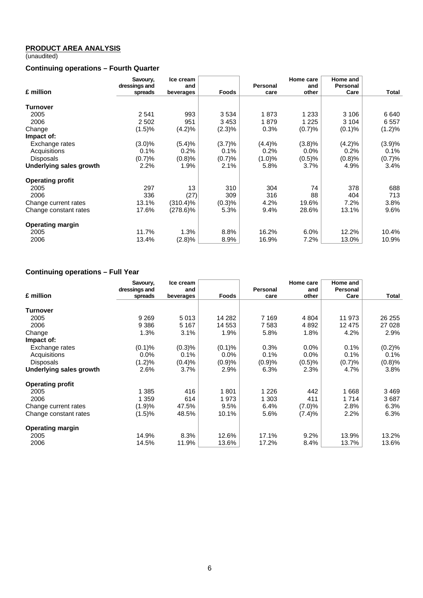## **PRODUCT AREA ANALYSIS**

(unaudited)

# **Continuing operations – Fourth Quarter**

|                         | Savoury,<br>dressings and | Ice cream<br>and |              | Personal | Home care<br>and | Home and<br><b>Personal</b> |        |
|-------------------------|---------------------------|------------------|--------------|----------|------------------|-----------------------------|--------|
| £ million               | spreads                   | beverages        | <b>Foods</b> | care     | other            | Care                        | Total  |
| Turnover                |                           |                  |              |          |                  |                             |        |
| 2005                    | 2541                      | 993              | 3 5 3 4      | 1873     | 1 2 3 3          | 3 106                       | 6 640  |
| 2006                    | 2 5 0 2                   | 951              | 3453         | 1879     | 1 2 2 5          | 3 1 0 4                     | 6557   |
| Change                  | (1.5)%                    | (4.2)%           | $(2.3)\%$    | 0.3%     | (0.7)%           | (0.1)%                      | (1.2)% |
| Impact of:              |                           |                  |              |          |                  |                             |        |
| Exchange rates          | $(3.0)\%$                 | (5.4)%           | (3.7)%       | (4.4)%   | (3.8)%           | (4.2)%                      | (3.9)% |
| Acquisitions            | 0.1%                      | 0.2%             | 0.1%         | 0.2%     | 0.0%             | 0.2%                        | 0.1%   |
| <b>Disposals</b>        | (0.7)%                    | (0.8)%           | (0.7)%       | (1.0)%   | (0.5)%           | (0.8)%                      | (0.7)% |
| Underlying sales growth | 2.2%                      | 1.9%             | $2.1\%$      | 5.8%     | 3.7%             | 4.9%                        | 3.4%   |
| <b>Operating profit</b> |                           |                  |              |          |                  |                             |        |
| 2005                    | 297                       | 13               | 310          | 304      | 74               | 378                         | 688    |
| 2006                    | 336                       | (27)             | 309          | 316      | 88               | 404                         | 713    |
| Change current rates    | 13.1%                     | $(310.4)\%$      | (0.3)%       | 4.2%     | 19.6%            | 7.2%                        | 3.8%   |
| Change constant rates   | 17.6%                     | $(278.6)\%$      | 5.3%         | 9.4%     | 28.6%            | 13.1%                       | 9.6%   |
| <b>Operating margin</b> |                           |                  |              |          |                  |                             |        |
| 2005                    | 11.7%                     | 1.3%             | 8.8%         | 16.2%    | 6.0%             | 12.2%                       | 10.4%  |
| 2006                    | 13.4%                     | (2.8)%           | 8.9%         | 16.9%    | 7.2%             | 13.0%                       | 10.9%  |

# **Continuing operations – Full Year**

|                         | Savoury,      | Ice cream |              |          | Home care | Home and |         |
|-------------------------|---------------|-----------|--------------|----------|-----------|----------|---------|
|                         | dressings and | and       |              | Personal | and       | Personal |         |
| £ million               | spreads       | beverages | <b>Foods</b> | care     | other     | Care     | Total   |
|                         |               |           |              |          |           |          |         |
| Turnover                |               |           |              |          |           |          |         |
| 2005                    | 9 2 6 9       | 5013      | 14 28 2      | 7 1 6 9  | 4 8 0 4   | 11 973   | 26 255  |
| 2006                    | 9 3 8 6       | 5 1 6 7   | 14 553       | 7 5 8 3  | 4 8 9 2   | 12 475   | 27 0 28 |
| Change                  | 1.3%          | 3.1%      | 1.9%         | 5.8%     | 1.8%      | 4.2%     | 2.9%    |
| Impact of:              |               |           |              |          |           |          |         |
| Exchange rates          | (0.1)%        | (0.3)%    | (0.1)%       | 0.3%     | $0.0\%$   | 0.1%     | (0.2)%  |
| Acquisitions            | $0.0\%$       | 0.1%      | 0.0%         | 0.1%     | $0.0\%$   | 0.1%     | 0.1%    |
| <b>Disposals</b>        | (1.2)%        | (0.4)%    | (0.9)%       | (0.9)%   | (0.5)%    | (0.7)%   | (0.8)%  |
| Underlying sales growth | 2.6%          | 3.7%      | 2.9%         | 6.3%     | 2.3%      | 4.7%     | 3.8%    |
| <b>Operating profit</b> |               |           |              |          |           |          |         |
| 2005                    | 1 385         | 416       | 1801         | 1 2 2 6  | 442       | 668      | 3 469   |
| 2006                    | 1 359         | 614       | 1973         | 1 303    | 411       | 1 7 1 4  | 3687    |
| Change current rates    | (1.9)%        | 47.5%     | 9.5%         | 6.4%     | (7.0)%    | 2.8%     | 6.3%    |
| Change constant rates   | (1.5)%        | 48.5%     | 10.1%        | 5.6%     | (7.4)%    | 2.2%     | 6.3%    |
| <b>Operating margin</b> |               |           |              |          |           |          |         |
| 2005                    | 14.9%         | 8.3%      | 12.6%        | 17.1%    | 9.2%      | 13.9%    | 13.2%   |
| 2006                    | 14.5%         | 11.9%     | 13.6%        | 17.2%    | 8.4%      | 13.7%    | 13.6%   |